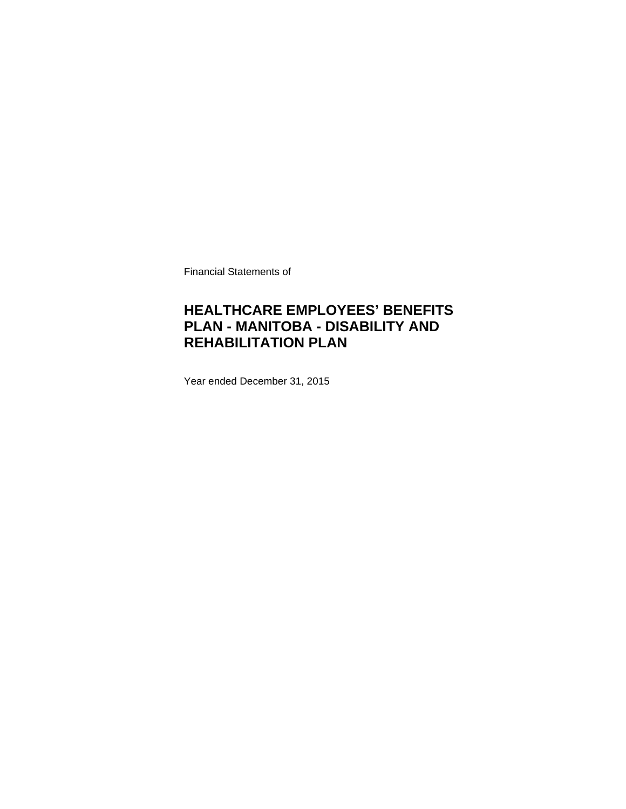Financial Statements of

### **HEALTHCARE EMPLOYEES' BENEFITS PLAN - MANITOBA - DISABILITY AND REHABILITATION PLAN**

Year ended December 31, 2015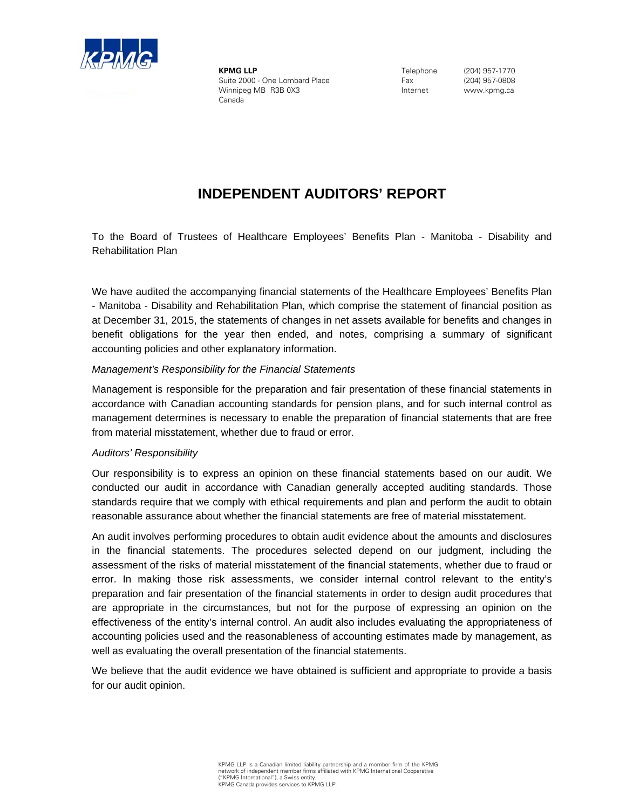

**KPMG LLP** Suite 2000 - One Lombard Place Winnipeg MB R3B 0X3 Canada

Telephone Fax Internet

(204) 957-1770 (204) 957-0808 www.kpmg.ca

### **INDEPENDENT AUDITORS' REPORT**

To the Board of Trustees of Healthcare Employees' Benefits Plan - Manitoba - Disability and Rehabilitation Plan

We have audited the accompanying financial statements of the Healthcare Employees' Benefits Plan - Manitoba - Disability and Rehabilitation Plan, which comprise the statement of financial position as at December 31, 2015, the statements of changes in net assets available for benefits and changes in benefit obligations for the year then ended, and notes, comprising a summary of significant accounting policies and other explanatory information.

#### *Management's Responsibility for the Financial Statements*

Management is responsible for the preparation and fair presentation of these financial statements in accordance with Canadian accounting standards for pension plans, and for such internal control as management determines is necessary to enable the preparation of financial statements that are free from material misstatement, whether due to fraud or error.

### *Auditors' Responsibility*

Our responsibility is to express an opinion on these financial statements based on our audit. We conducted our audit in accordance with Canadian generally accepted auditing standards. Those standards require that we comply with ethical requirements and plan and perform the audit to obtain reasonable assurance about whether the financial statements are free of material misstatement.

An audit involves performing procedures to obtain audit evidence about the amounts and disclosures in the financial statements. The procedures selected depend on our judgment, including the assessment of the risks of material misstatement of the financial statements, whether due to fraud or error. In making those risk assessments, we consider internal control relevant to the entity's preparation and fair presentation of the financial statements in order to design audit procedures that are appropriate in the circumstances, but not for the purpose of expressing an opinion on the effectiveness of the entity's internal control. An audit also includes evaluating the appropriateness of accounting policies used and the reasonableness of accounting estimates made by management, as well as evaluating the overall presentation of the financial statements.

We believe that the audit evidence we have obtained is sufficient and appropriate to provide a basis for our audit opinion.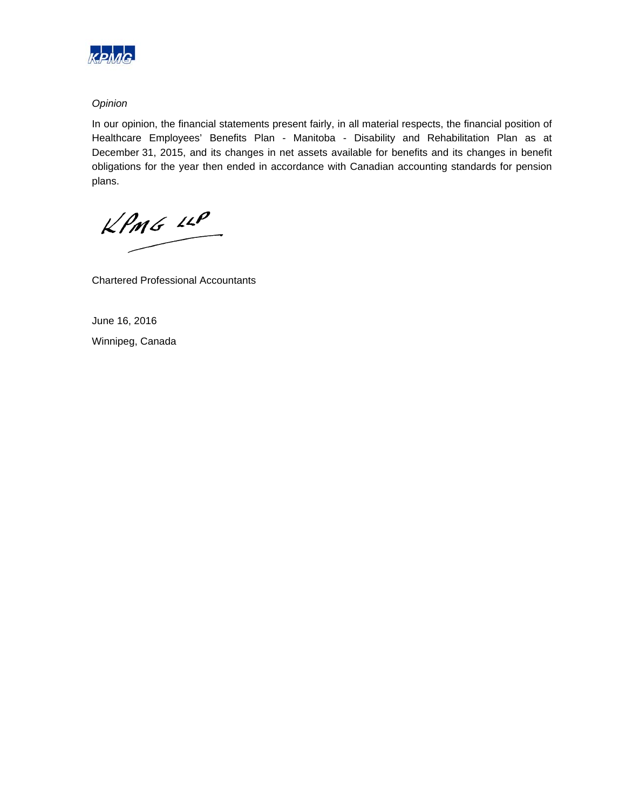

### *Opinion*

In our opinion, the financial statements present fairly, in all material respects, the financial position of Healthcare Employees' Benefits Plan - Manitoba - Disability and Rehabilitation Plan as at December 31, 2015, and its changes in net assets available for benefits and its changes in benefit obligations for the year then ended in accordance with Canadian accounting standards for pension plans.

 $kPMS$   $\mu P$ 

Chartered Professional Accountants

June 16, 2016 Winnipeg, Canada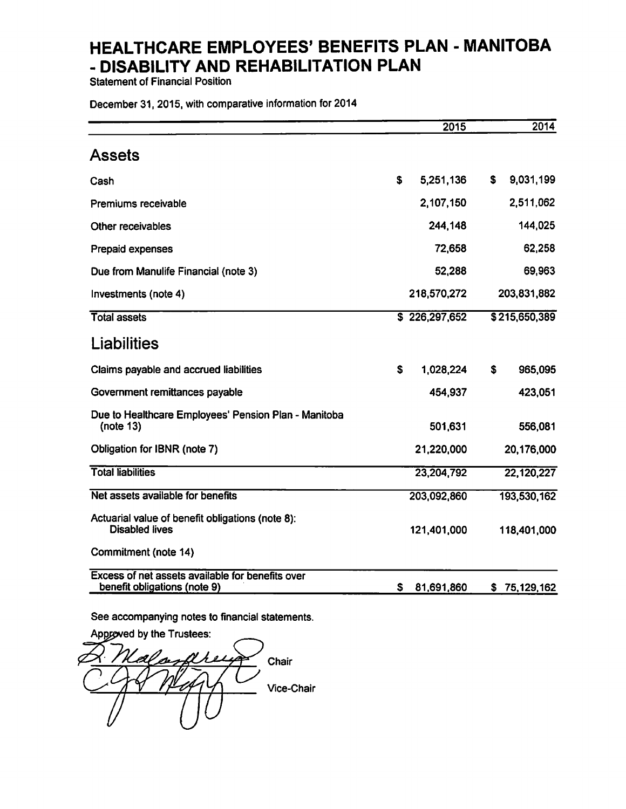**Statement of Financial Position** 

December 31, 2015, with comparative information for 2014

|                                                                                  | 2015            | 2014             |
|----------------------------------------------------------------------------------|-----------------|------------------|
| Assets                                                                           |                 |                  |
| Cash                                                                             | \$<br>5,251,136 | 9,031,199<br>S.  |
| Premiums receivable                                                              | 2,107,150       | 2,511,062        |
| Other receivables                                                                | 244,148         | 144,025          |
| Prepaid expenses                                                                 | 72,658          | 62,258           |
| Due from Manulife Financial (note 3)                                             | 52,288          | 69,963           |
| Investments (note 4)                                                             | 218,570,272     | 203,831,882      |
| <b>Total assets</b>                                                              | \$226,297,652   | \$215,650,389    |
| <b>Liabilities</b>                                                               |                 |                  |
| Claims payable and accrued liabilities                                           | S<br>1.028,224  | 965,095<br>\$    |
| Government remittances payable                                                   | 454,937         | 423,051          |
| Due to Healthcare Employees' Pension Plan - Manitoba<br>(note $13$ )             | 501,631         | 556,081          |
| Obligation for IBNR (note 7)                                                     | 21,220,000      | 20,176,000       |
| <b>Total liabilities</b>                                                         | 23,204,792      | 22,120,227       |
| Net assets available for benefits                                                | 203,092,860     | 193,530,162      |
| Actuarial value of benefit obligations (note 8):<br><b>Disabled lives</b>        | 121,401,000     | 118,401,000      |
| Commitment (note 14)                                                             |                 |                  |
| Excess of net assets available for benefits over<br>benefit obligations (note 9) | S<br>81,691,860 | 75,129,162<br>\$ |

See accompanying notes to financial statements.

Approved by the Trustees: Chair Vice-Chair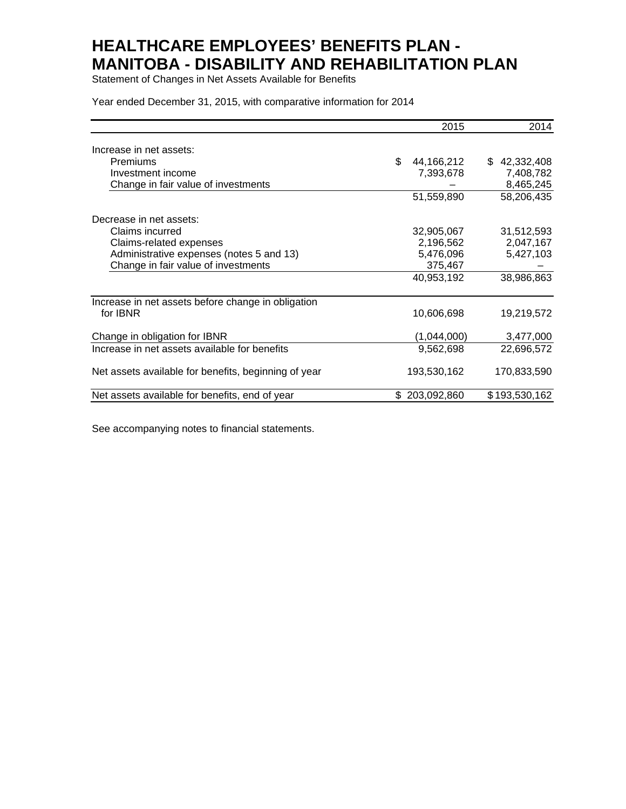Statement of Changes in Net Assets Available for Benefits

Year ended December 31, 2015, with comparative information for 2014

|                                                      | 2015             | 2014          |
|------------------------------------------------------|------------------|---------------|
| Increase in net assets:                              |                  |               |
| <b>Premiums</b>                                      | \$<br>44,166,212 | \$42,332,408  |
| Investment income                                    | 7,393,678        | 7,408,782     |
| Change in fair value of investments                  |                  | 8,465,245     |
|                                                      | 51,559,890       | 58,206,435    |
| Decrease in net assets:                              |                  |               |
| Claims incurred                                      | 32,905,067       | 31,512,593    |
| Claims-related expenses                              | 2,196,562        | 2,047,167     |
| Administrative expenses (notes 5 and 13)             | 5,476,096        | 5,427,103     |
| Change in fair value of investments                  | 375,467          |               |
|                                                      | 40,953,192       | 38,986,863    |
| Increase in net assets before change in obligation   |                  |               |
| for IBNR                                             | 10,606,698       | 19,219,572    |
| Change in obligation for IBNR                        | (1,044,000)      | 3,477,000     |
| Increase in net assets available for benefits        | 9,562,698        | 22,696,572    |
| Net assets available for benefits, beginning of year | 193,530,162      | 170,833,590   |
| Net assets available for benefits, end of year       | \$203,092,860    | \$193,530,162 |

See accompanying notes to financial statements.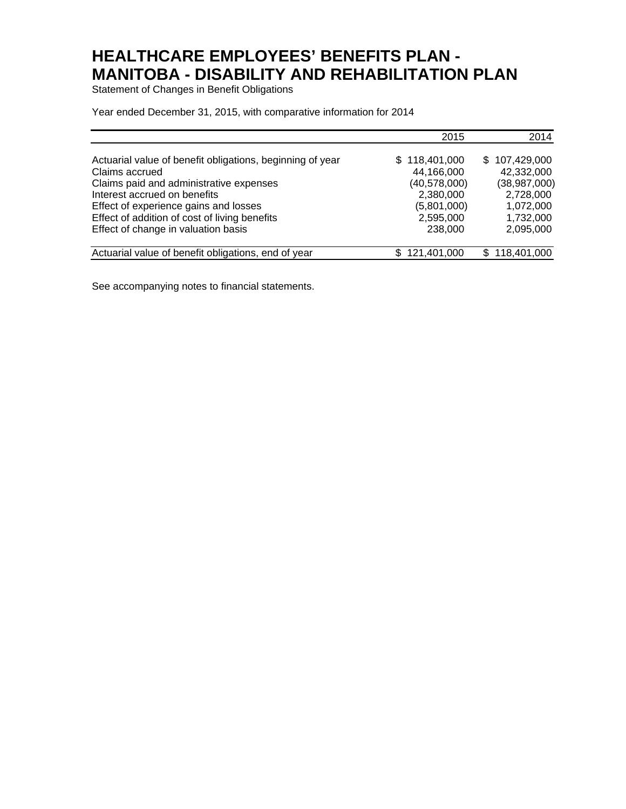Statement of Changes in Benefit Obligations

Year ended December 31, 2015, with comparative information for 2014

|                                                           | 2015           | 2014          |
|-----------------------------------------------------------|----------------|---------------|
| Actuarial value of benefit obligations, beginning of year | \$118,401,000  | \$107,429,000 |
| Claims accrued                                            | 44,166,000     | 42,332,000    |
| Claims paid and administrative expenses                   | (40, 578, 000) | (38,987,000)  |
| Interest accrued on benefits                              | 2,380,000      | 2,728,000     |
| Effect of experience gains and losses                     | (5,801,000)    | 1,072,000     |
| Effect of addition of cost of living benefits             | 2,595,000      | 1,732,000     |
| Effect of change in valuation basis                       | 238,000        | 2,095,000     |
| Actuarial value of benefit obligations, end of year       | 121,401,000    | \$118,401,000 |

See accompanying notes to financial statements.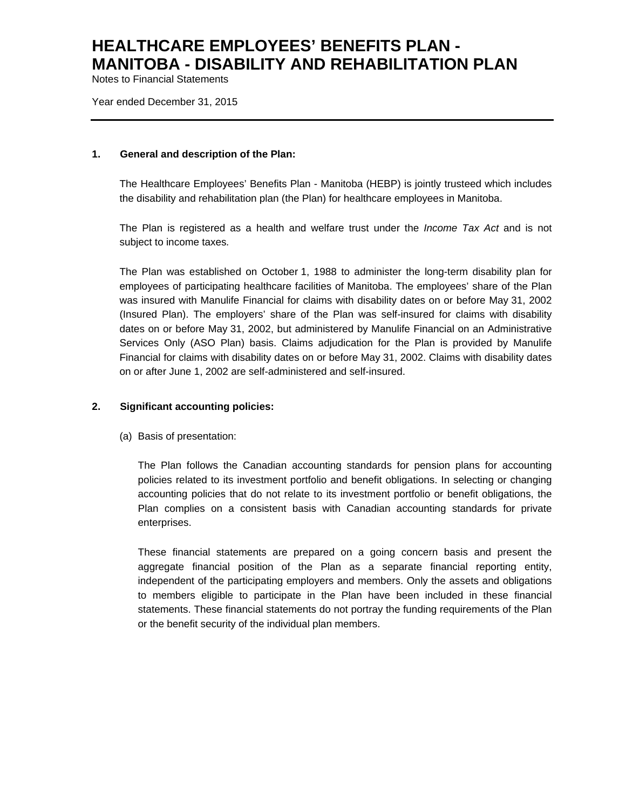Notes to Financial Statements

Year ended December 31, 2015

#### **1. General and description of the Plan:**

The Healthcare Employees' Benefits Plan - Manitoba (HEBP) is jointly trusteed which includes the disability and rehabilitation plan (the Plan) for healthcare employees in Manitoba.

The Plan is registered as a health and welfare trust under the *Income Tax Act* and is not subject to income taxes*.*

The Plan was established on October 1, 1988 to administer the long-term disability plan for employees of participating healthcare facilities of Manitoba. The employees' share of the Plan was insured with Manulife Financial for claims with disability dates on or before May 31, 2002 (Insured Plan). The employers' share of the Plan was self-insured for claims with disability dates on or before May 31, 2002, but administered by Manulife Financial on an Administrative Services Only (ASO Plan) basis. Claims adjudication for the Plan is provided by Manulife Financial for claims with disability dates on or before May 31, 2002. Claims with disability dates on or after June 1, 2002 are self-administered and self-insured.

### **2. Significant accounting policies:**

(a) Basis of presentation:

The Plan follows the Canadian accounting standards for pension plans for accounting policies related to its investment portfolio and benefit obligations. In selecting or changing accounting policies that do not relate to its investment portfolio or benefit obligations, the Plan complies on a consistent basis with Canadian accounting standards for private enterprises.

These financial statements are prepared on a going concern basis and present the aggregate financial position of the Plan as a separate financial reporting entity, independent of the participating employers and members. Only the assets and obligations to members eligible to participate in the Plan have been included in these financial statements. These financial statements do not portray the funding requirements of the Plan or the benefit security of the individual plan members.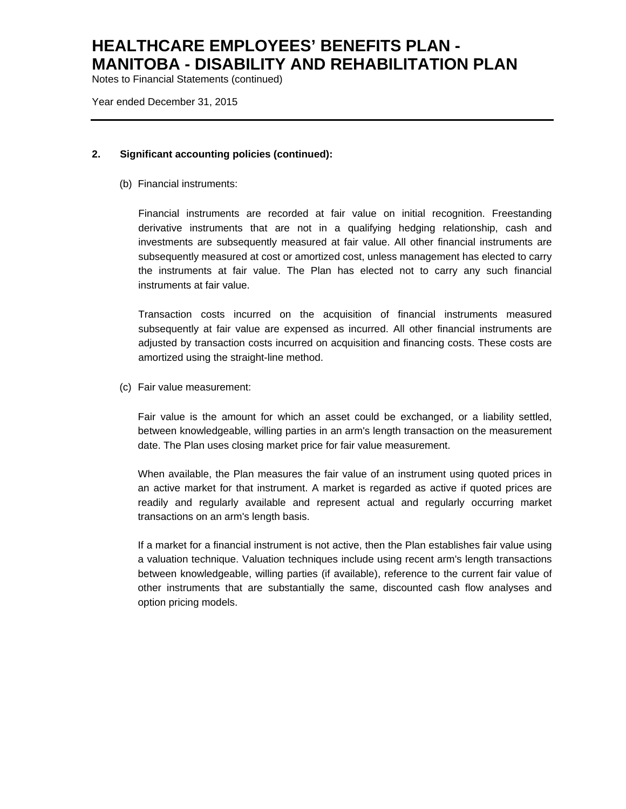Notes to Financial Statements (continued)

Year ended December 31, 2015

### **2. Significant accounting policies (continued):**

(b) Financial instruments:

Financial instruments are recorded at fair value on initial recognition. Freestanding derivative instruments that are not in a qualifying hedging relationship, cash and investments are subsequently measured at fair value. All other financial instruments are subsequently measured at cost or amortized cost, unless management has elected to carry the instruments at fair value. The Plan has elected not to carry any such financial instruments at fair value.

Transaction costs incurred on the acquisition of financial instruments measured subsequently at fair value are expensed as incurred. All other financial instruments are adjusted by transaction costs incurred on acquisition and financing costs. These costs are amortized using the straight-line method.

(c) Fair value measurement:

Fair value is the amount for which an asset could be exchanged, or a liability settled, between knowledgeable, willing parties in an arm's length transaction on the measurement date. The Plan uses closing market price for fair value measurement.

When available, the Plan measures the fair value of an instrument using quoted prices in an active market for that instrument. A market is regarded as active if quoted prices are readily and regularly available and represent actual and regularly occurring market transactions on an arm's length basis.

If a market for a financial instrument is not active, then the Plan establishes fair value using a valuation technique. Valuation techniques include using recent arm's length transactions between knowledgeable, willing parties (if available), reference to the current fair value of other instruments that are substantially the same, discounted cash flow analyses and option pricing models.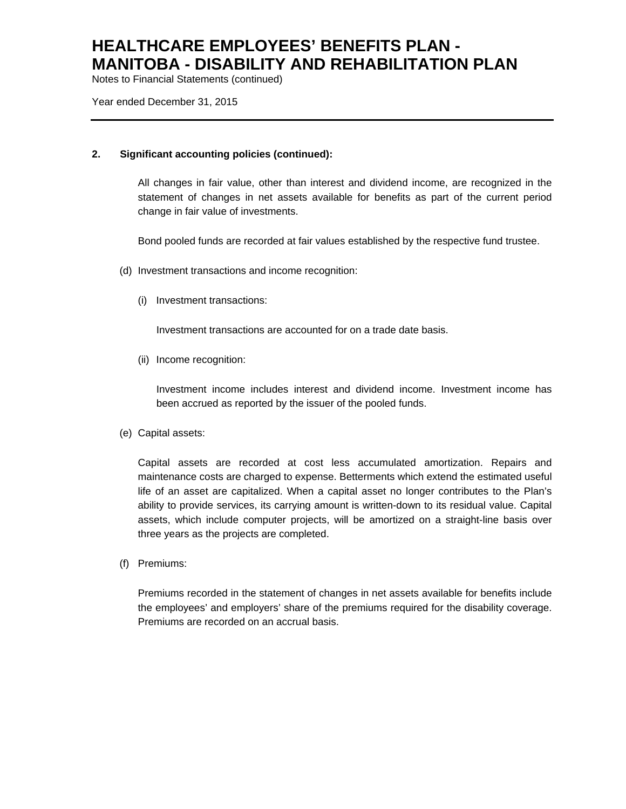Notes to Financial Statements (continued)

Year ended December 31, 2015

### **2. Significant accounting policies (continued):**

All changes in fair value, other than interest and dividend income, are recognized in the statement of changes in net assets available for benefits as part of the current period change in fair value of investments.

Bond pooled funds are recorded at fair values established by the respective fund trustee.

- (d) Investment transactions and income recognition:
	- (i) Investment transactions:

Investment transactions are accounted for on a trade date basis.

(ii) Income recognition:

Investment income includes interest and dividend income. Investment income has been accrued as reported by the issuer of the pooled funds.

(e) Capital assets:

Capital assets are recorded at cost less accumulated amortization. Repairs and maintenance costs are charged to expense. Betterments which extend the estimated useful life of an asset are capitalized. When a capital asset no longer contributes to the Plan's ability to provide services, its carrying amount is written-down to its residual value. Capital assets, which include computer projects, will be amortized on a straight-line basis over three years as the projects are completed.

(f) Premiums:

Premiums recorded in the statement of changes in net assets available for benefits include the employees' and employers' share of the premiums required for the disability coverage. Premiums are recorded on an accrual basis.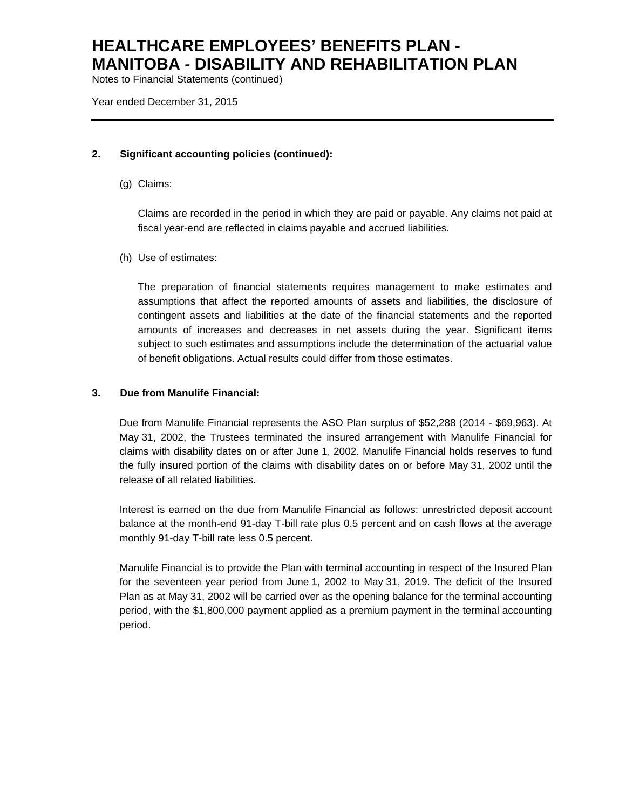Notes to Financial Statements (continued)

Year ended December 31, 2015

### **2. Significant accounting policies (continued):**

(g) Claims:

Claims are recorded in the period in which they are paid or payable. Any claims not paid at fiscal year-end are reflected in claims payable and accrued liabilities.

(h) Use of estimates:

The preparation of financial statements requires management to make estimates and assumptions that affect the reported amounts of assets and liabilities, the disclosure of contingent assets and liabilities at the date of the financial statements and the reported amounts of increases and decreases in net assets during the year. Significant items subject to such estimates and assumptions include the determination of the actuarial value of benefit obligations. Actual results could differ from those estimates.

### **3. Due from Manulife Financial:**

Due from Manulife Financial represents the ASO Plan surplus of \$52,288 (2014 - \$69,963). At May 31, 2002, the Trustees terminated the insured arrangement with Manulife Financial for claims with disability dates on or after June 1, 2002. Manulife Financial holds reserves to fund the fully insured portion of the claims with disability dates on or before May 31, 2002 until the release of all related liabilities.

Interest is earned on the due from Manulife Financial as follows: unrestricted deposit account balance at the month-end 91-day T-bill rate plus 0.5 percent and on cash flows at the average monthly 91-day T-bill rate less 0.5 percent.

Manulife Financial is to provide the Plan with terminal accounting in respect of the Insured Plan for the seventeen year period from June 1, 2002 to May 31, 2019. The deficit of the Insured Plan as at May 31, 2002 will be carried over as the opening balance for the terminal accounting period, with the \$1,800,000 payment applied as a premium payment in the terminal accounting period.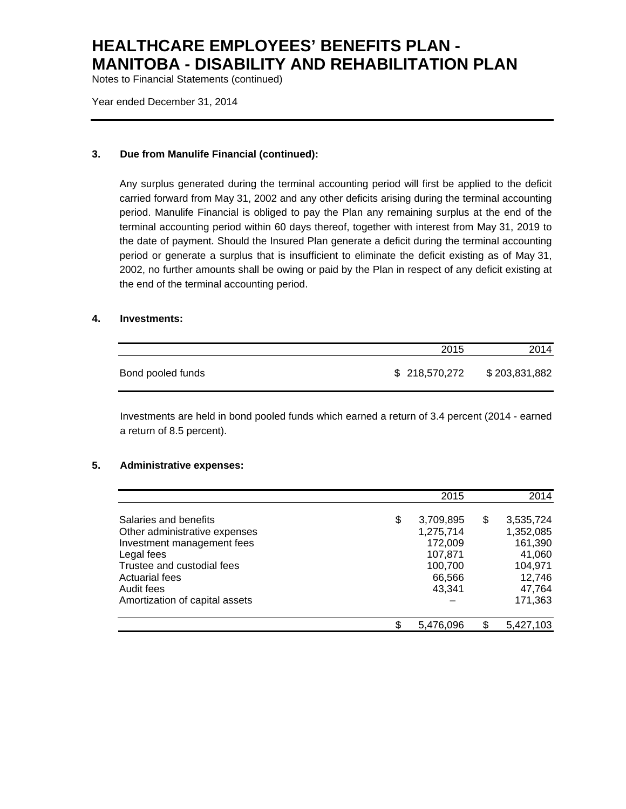Notes to Financial Statements (continued)

Year ended December 31, 2014

### **3. Due from Manulife Financial (continued):**

Any surplus generated during the terminal accounting period will first be applied to the deficit carried forward from May 31, 2002 and any other deficits arising during the terminal accounting period. Manulife Financial is obliged to pay the Plan any remaining surplus at the end of the terminal accounting period within 60 days thereof, together with interest from May 31, 2019 to the date of payment. Should the Insured Plan generate a deficit during the terminal accounting period or generate a surplus that is insufficient to eliminate the deficit existing as of May 31, 2002, no further amounts shall be owing or paid by the Plan in respect of any deficit existing at the end of the terminal accounting period.

### **4. Investments:**

|                   | 2015          | 2014          |
|-------------------|---------------|---------------|
| Bond pooled funds | \$218,570,272 | \$203,831,882 |

Investments are held in bond pooled funds which earned a return of 3.4 percent (2014 - earned a return of 8.5 percent).

#### **5. Administrative expenses:**

|                                                        | 2015                         | 2014                         |
|--------------------------------------------------------|------------------------------|------------------------------|
| Salaries and benefits<br>Other administrative expenses | \$<br>3,709,895<br>1,275,714 | \$<br>3,535,724<br>1,352,085 |
| Investment management fees<br>Legal fees               | 172,009<br>107,871           | 161,390<br>41,060            |
| Trustee and custodial fees<br>Actuarial fees           | 100,700<br>66,566            | 104,971<br>12,746            |
| Audit fees<br>Amortization of capital assets           | 43,341                       | 47,764<br>171,363            |
|                                                        | \$<br>5.476.096              | 5,427,103                    |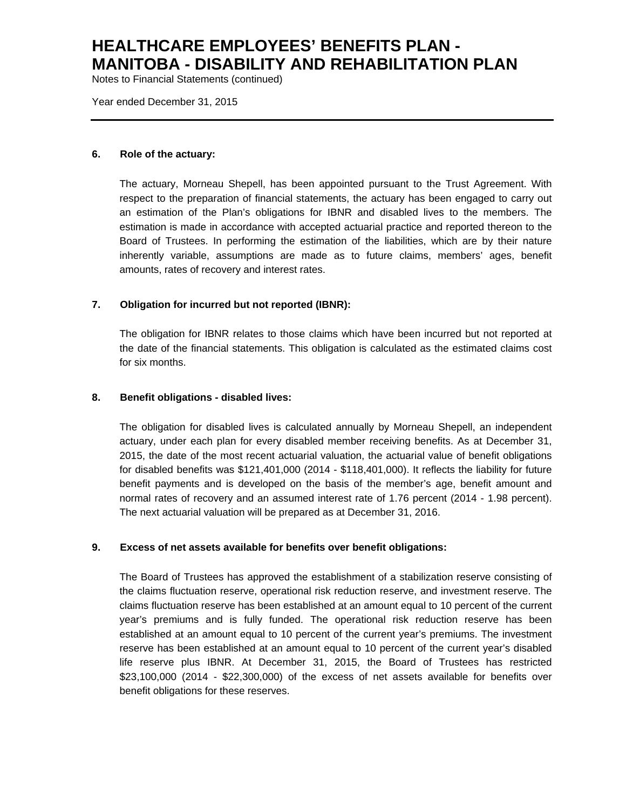Notes to Financial Statements (continued)

Year ended December 31, 2015

#### **6. Role of the actuary:**

The actuary, Morneau Shepell, has been appointed pursuant to the Trust Agreement. With respect to the preparation of financial statements, the actuary has been engaged to carry out an estimation of the Plan's obligations for IBNR and disabled lives to the members. The estimation is made in accordance with accepted actuarial practice and reported thereon to the Board of Trustees. In performing the estimation of the liabilities, which are by their nature inherently variable, assumptions are made as to future claims, members' ages, benefit amounts, rates of recovery and interest rates.

### **7. Obligation for incurred but not reported (IBNR):**

The obligation for IBNR relates to those claims which have been incurred but not reported at the date of the financial statements. This obligation is calculated as the estimated claims cost for six months.

### **8. Benefit obligations - disabled lives:**

The obligation for disabled lives is calculated annually by Morneau Shepell, an independent actuary, under each plan for every disabled member receiving benefits. As at December 31, 2015, the date of the most recent actuarial valuation, the actuarial value of benefit obligations for disabled benefits was \$121,401,000 (2014 - \$118,401,000). It reflects the liability for future benefit payments and is developed on the basis of the member's age, benefit amount and normal rates of recovery and an assumed interest rate of 1.76 percent (2014 - 1.98 percent). The next actuarial valuation will be prepared as at December 31, 2016.

### **9. Excess of net assets available for benefits over benefit obligations:**

The Board of Trustees has approved the establishment of a stabilization reserve consisting of the claims fluctuation reserve, operational risk reduction reserve, and investment reserve. The claims fluctuation reserve has been established at an amount equal to 10 percent of the current year's premiums and is fully funded. The operational risk reduction reserve has been established at an amount equal to 10 percent of the current year's premiums. The investment reserve has been established at an amount equal to 10 percent of the current year's disabled life reserve plus IBNR. At December 31, 2015, the Board of Trustees has restricted \$23,100,000 (2014 - \$22,300,000) of the excess of net assets available for benefits over benefit obligations for these reserves.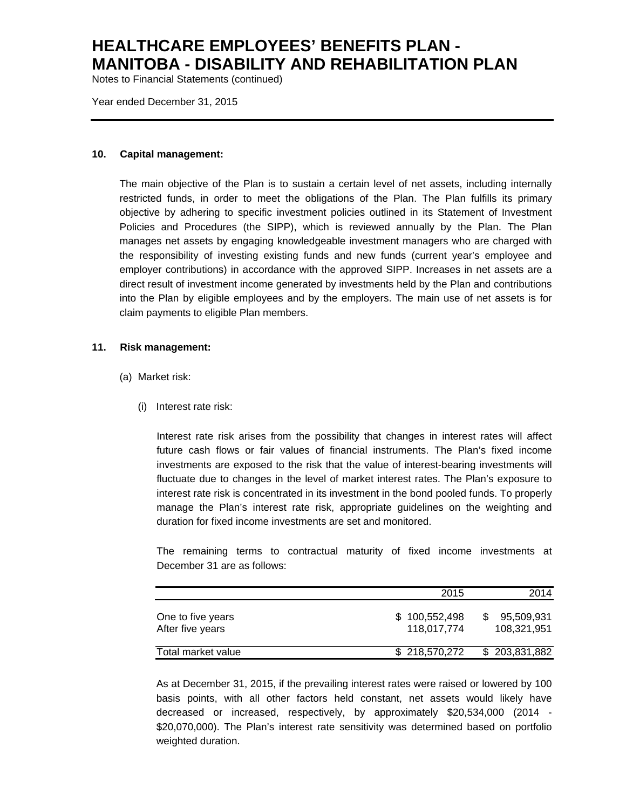Notes to Financial Statements (continued)

Year ended December 31, 2015

#### **10. Capital management:**

The main objective of the Plan is to sustain a certain level of net assets, including internally restricted funds, in order to meet the obligations of the Plan. The Plan fulfills its primary objective by adhering to specific investment policies outlined in its Statement of Investment Policies and Procedures (the SIPP), which is reviewed annually by the Plan. The Plan manages net assets by engaging knowledgeable investment managers who are charged with the responsibility of investing existing funds and new funds (current year's employee and employer contributions) in accordance with the approved SIPP. Increases in net assets are a direct result of investment income generated by investments held by the Plan and contributions into the Plan by eligible employees and by the employers. The main use of net assets is for claim payments to eligible Plan members.

#### **11. Risk management:**

- (a) Market risk:
	- (i) Interest rate risk:

Interest rate risk arises from the possibility that changes in interest rates will affect future cash flows or fair values of financial instruments. The Plan's fixed income investments are exposed to the risk that the value of interest-bearing investments will fluctuate due to changes in the level of market interest rates. The Plan's exposure to interest rate risk is concentrated in its investment in the bond pooled funds. To properly manage the Plan's interest rate risk, appropriate guidelines on the weighting and duration for fixed income investments are set and monitored.

The remaining terms to contractual maturity of fixed income investments at December 31 are as follows:

|                                       | 2015                         | 2014                      |
|---------------------------------------|------------------------------|---------------------------|
| One to five years<br>After five years | \$100,552,498<br>118.017.774 | 95,509,931<br>108.321.951 |
| Total market value                    | \$218,570,272                | \$203,831,882             |

As at December 31, 2015, if the prevailing interest rates were raised or lowered by 100 basis points, with all other factors held constant, net assets would likely have decreased or increased, respectively, by approximately \$20,534,000 (2014 - \$20,070,000). The Plan's interest rate sensitivity was determined based on portfolio weighted duration.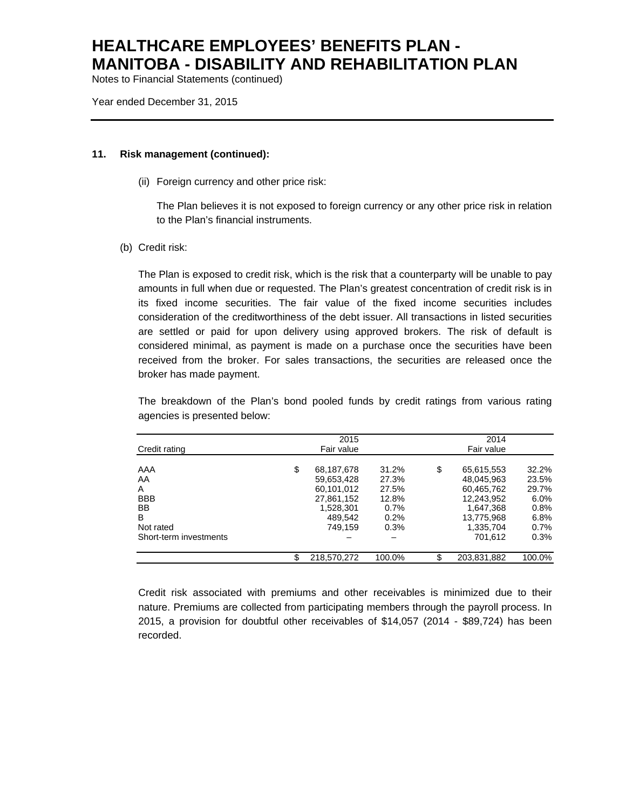Notes to Financial Statements (continued)

Year ended December 31, 2015

#### **11. Risk management (continued):**

(ii) Foreign currency and other price risk:

The Plan believes it is not exposed to foreign currency or any other price risk in relation to the Plan's financial instruments.

(b) Credit risk:

The Plan is exposed to credit risk, which is the risk that a counterparty will be unable to pay amounts in full when due or requested. The Plan's greatest concentration of credit risk is in its fixed income securities. The fair value of the fixed income securities includes consideration of the creditworthiness of the debt issuer. All transactions in listed securities are settled or paid for upon delivery using approved brokers. The risk of default is considered minimal, as payment is made on a purchase once the securities have been received from the broker. For sales transactions, the securities are released once the broker has made payment.

The breakdown of the Plan's bond pooled funds by credit ratings from various rating agencies is presented below:

|                        |    | 2014<br>2015 |        |    |             |         |
|------------------------|----|--------------|--------|----|-------------|---------|
| Credit rating          |    | Fair value   |        |    | Fair value  |         |
| AAA                    | \$ | 68,187,678   | 31.2%  | \$ | 65,615,553  | 32.2%   |
| AA                     |    | 59,653,428   | 27.3%  |    | 48.045.963  | 23.5%   |
| A                      |    | 60,101,012   | 27.5%  |    | 60,465,762  | 29.7%   |
| <b>BBB</b>             |    | 27,861,152   | 12.8%  |    | 12.243.952  | $6.0\%$ |
| <b>BB</b>              |    | 1.528.301    | 0.7%   |    | 1.647.368   | $0.8\%$ |
| B                      |    | 489.542      | 0.2%   |    | 13,775,968  | $6.8\%$ |
| Not rated              |    | 749.159      | 0.3%   |    | 1,335,704   | $0.7\%$ |
| Short-term investments |    |              |        |    | 701.612     | 0.3%    |
|                        |    |              |        |    |             |         |
|                        | S  | 218,570,272  | 100.0% | \$ | 203,831,882 | 100.0%  |

Credit risk associated with premiums and other receivables is minimized due to their nature. Premiums are collected from participating members through the payroll process. In 2015, a provision for doubtful other receivables of \$14,057 (2014 - \$89,724) has been recorded.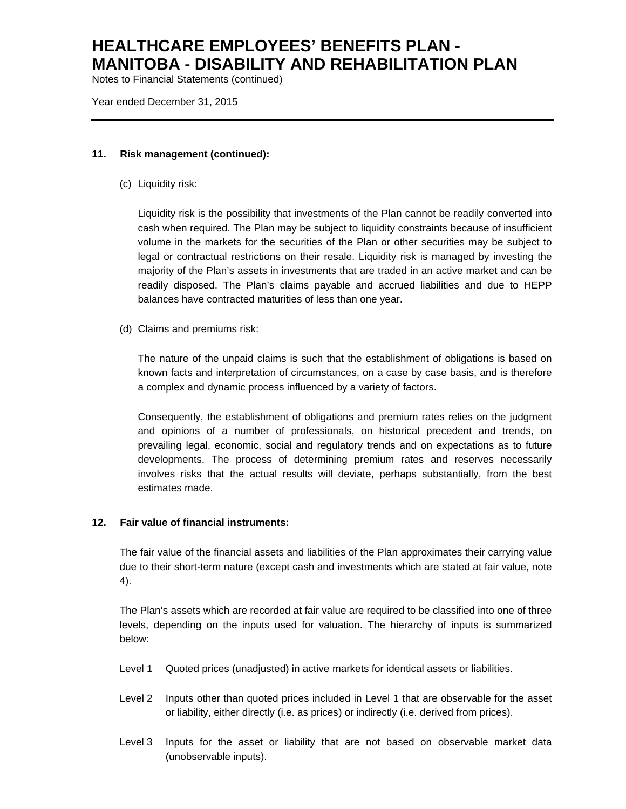Notes to Financial Statements (continued)

Year ended December 31, 2015

#### **11. Risk management (continued):**

(c) Liquidity risk:

Liquidity risk is the possibility that investments of the Plan cannot be readily converted into cash when required. The Plan may be subject to liquidity constraints because of insufficient volume in the markets for the securities of the Plan or other securities may be subject to legal or contractual restrictions on their resale. Liquidity risk is managed by investing the majority of the Plan's assets in investments that are traded in an active market and can be readily disposed. The Plan's claims payable and accrued liabilities and due to HEPP balances have contracted maturities of less than one year.

(d) Claims and premiums risk:

The nature of the unpaid claims is such that the establishment of obligations is based on known facts and interpretation of circumstances, on a case by case basis, and is therefore a complex and dynamic process influenced by a variety of factors.

Consequently, the establishment of obligations and premium rates relies on the judgment and opinions of a number of professionals, on historical precedent and trends, on prevailing legal, economic, social and regulatory trends and on expectations as to future developments. The process of determining premium rates and reserves necessarily involves risks that the actual results will deviate, perhaps substantially, from the best estimates made.

### **12. Fair value of financial instruments:**

The fair value of the financial assets and liabilities of the Plan approximates their carrying value due to their short-term nature (except cash and investments which are stated at fair value, note 4).

The Plan's assets which are recorded at fair value are required to be classified into one of three levels, depending on the inputs used for valuation. The hierarchy of inputs is summarized below:

- Level 1 Quoted prices (unadjusted) in active markets for identical assets or liabilities.
- Level 2 Inputs other than quoted prices included in Level 1 that are observable for the asset or liability, either directly (i.e. as prices) or indirectly (i.e. derived from prices).
- Level 3 Inputs for the asset or liability that are not based on observable market data (unobservable inputs).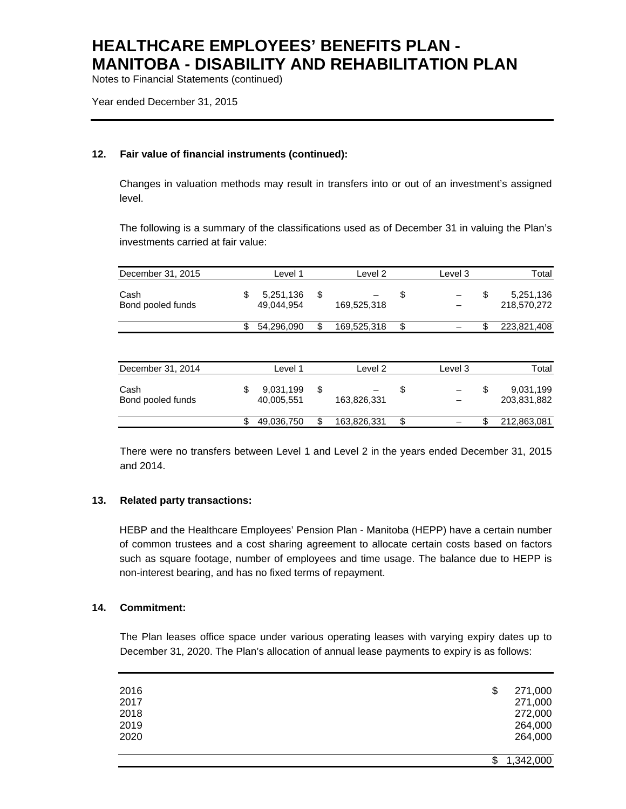Notes to Financial Statements (continued)

Year ended December 31, 2015

### **12. Fair value of financial instruments (continued):**

Changes in valuation methods may result in transfers into or out of an investment's assigned level.

The following is a summary of the classifications used as of December 31 in valuing the Plan's investments carried at fair value:

| December 31, 2015         | Level 1                       | Level 2           | Level 3 | Total                          |
|---------------------------|-------------------------------|-------------------|---------|--------------------------------|
| Cash<br>Bond pooled funds | \$<br>5,251,136<br>49,044,954 | \$<br>169,525,318 | \$      | \$<br>5,251,136<br>218,570,272 |
|                           | \$<br>54,296,090              | \$<br>169,525,318 | \$      | 223,821,408                    |
| December 31, 2014         | Level 1                       | Level 2           | Level 3 | Total                          |
|                           |                               |                   |         |                                |
| Cash<br>Bond pooled funds | \$<br>9,031,199<br>40,005,551 | \$<br>163,826,331 | \$      | \$<br>9,031,199<br>203,831,882 |
|                           | \$<br>49,036,750              | \$<br>163,826,331 | \$      | 212,863,081                    |

There were no transfers between Level 1 and Level 2 in the years ended December 31, 2015 and 2014.

### **13. Related party transactions:**

HEBP and the Healthcare Employees' Pension Plan - Manitoba (HEPP) have a certain number of common trustees and a cost sharing agreement to allocate certain costs based on factors such as square footage, number of employees and time usage. The balance due to HEPP is non-interest bearing, and has no fixed terms of repayment.

### **14. Commitment:**

The Plan leases office space under various operating leases with varying expiry dates up to December 31, 2020. The Plan's allocation of annual lease payments to expiry is as follows:

| 2016 | \$<br>271,000   |
|------|-----------------|
| 2017 | 271,000         |
| 2018 | 272,000         |
| 2019 | 264,000         |
| 2020 | 264,000         |
|      |                 |
|      | 1,342,000<br>\$ |